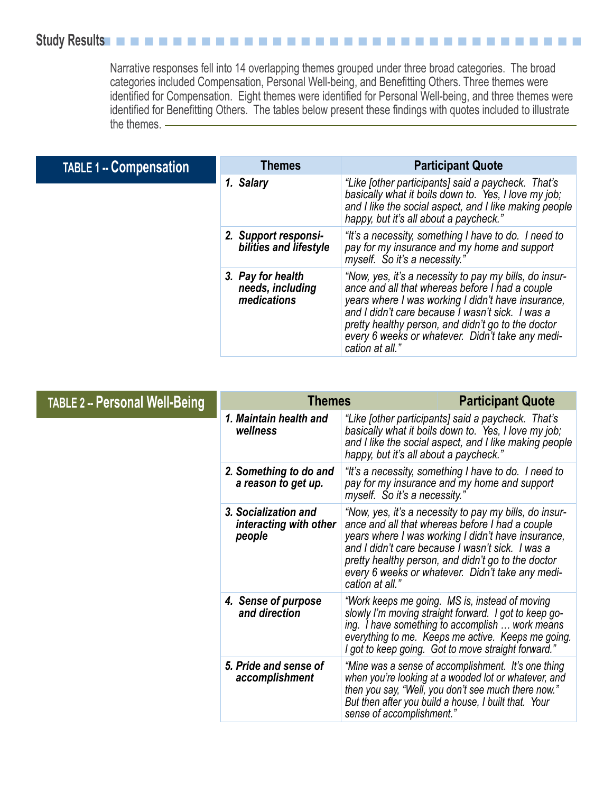## Study Results**n n n n n n n n n n n n n n n n n n n**

Narrative responses fell into 14 overlapping themes grouped under three broad categories. The broad categories included Compensation, Personal Well-being, and Benefitting Others. Three themes were identified for Compensation. Eight themes were identified for Personal Well-being, and three themes were identified for Benefitting Others. The tables below present these findings with quotes included to illustrate the themes.

| <b>TABLE 1 -- Compensation</b> | <b>Themes</b>                                        | <b>Participant Quote</b>                                                                                                                                                                                                                                                                                                                         |
|--------------------------------|------------------------------------------------------|--------------------------------------------------------------------------------------------------------------------------------------------------------------------------------------------------------------------------------------------------------------------------------------------------------------------------------------------------|
|                                | 1. Salary                                            | "Like [other participants] said a paycheck. That's<br>basically what it boils down to. Yes, I love my job;<br>and I like the social aspect, and I like making people<br>happy, but it's all about a paycheck."                                                                                                                                   |
|                                | 2. Support responsi-<br>bilities and lifestyle       | "It's a necessity, something I have to do. I need to<br>pay for my insurance and my home and support<br>myself. So it's a necessity."                                                                                                                                                                                                            |
|                                | 3. Pay for health<br>needs, including<br>medications | "Now, yes, it's a necessity to pay my bills, do insur-<br>ance and all that whereas before I had a couple<br>years where I was working I didn't have insurance,<br>and I didn't care because I wasn't sick. I was a<br>pretty healthy person, and didn't go to the doctor<br>every 6 weeks or whatever. Didn't take any medi-<br>cation at all." |

| <b>TABLE 2 -- Personal Well-Being</b> | <b>Themes</b>                                            |                                                                                                                                                                                                                                                                                                                                                  | <b>Participant Quote</b>                                                                                                                                                                                                                                                |
|---------------------------------------|----------------------------------------------------------|--------------------------------------------------------------------------------------------------------------------------------------------------------------------------------------------------------------------------------------------------------------------------------------------------------------------------------------------------|-------------------------------------------------------------------------------------------------------------------------------------------------------------------------------------------------------------------------------------------------------------------------|
|                                       | 1. Maintain health and<br>wellness                       | "Like lother participants] said a paycheck. That's<br>basically what it boils down to. Yes, I love my job;<br>and I like the social aspect, and I like making people<br>happy, but it's all about a paycheck."                                                                                                                                   |                                                                                                                                                                                                                                                                         |
|                                       | 2. Something to do and<br>a reason to get up.            | "It's a necessity, something I have to do. I need to<br>pay for my insurance and my home and support<br>myself. So it's a necessity."                                                                                                                                                                                                            |                                                                                                                                                                                                                                                                         |
|                                       | 3. Socialization and<br>interacting with other<br>people | "Now, yes, it's a necessity to pay my bills, do insur-<br>ance and all that whereas before I had a couple<br>years where I was working I didn't have insurance,<br>and I didn't care because I wasn't sick. I was a<br>pretty healthy person, and didn't go to the doctor<br>every 6 weeks or whatever. Didn't take any medi-<br>cation at all." |                                                                                                                                                                                                                                                                         |
|                                       | 4. Sense of purpose<br>and direction                     |                                                                                                                                                                                                                                                                                                                                                  | "Work keeps me going. MS is, instead of moving<br>slowly I'm moving straight forward. I got to keep go-<br>ing. I have something to accomplish  work means<br>everything to me. Keeps me active. Keeps me going.<br>I got to keep going. Got to move straight forward." |
|                                       | 5. Pride and sense of<br>accomplishment                  | sense of accomplishment."                                                                                                                                                                                                                                                                                                                        | "Mine was a sense of accomplishment. It's one thing<br>when you're looking at a wooded lot or whatever, and<br>then you say, "Well, you don't see much there now."<br>But then after you build a house, I built that. Your                                              |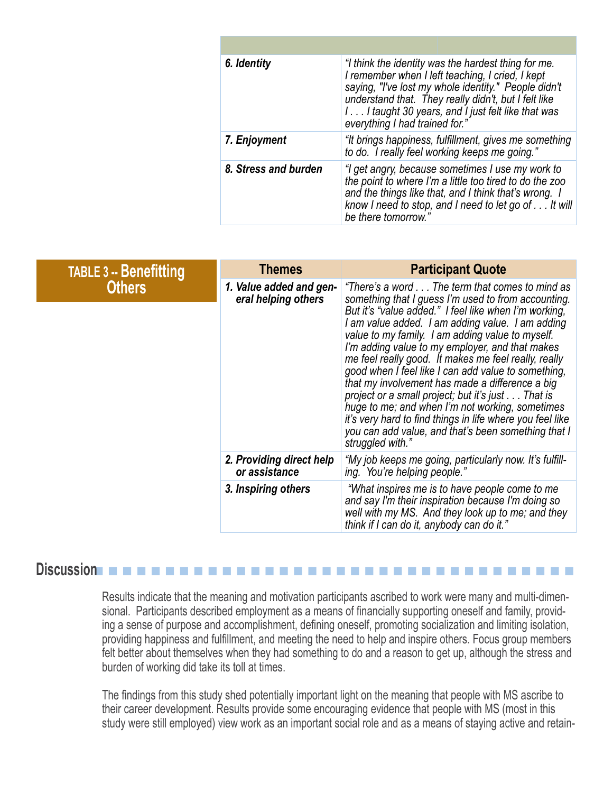| 6. Identity          | "I think the identity was the hardest thing for me.<br>I remember when I left teaching, I cried, I kept<br>saying, "I've lost my whole identity." People didn't<br>understand that. They really didn't, but I felt like<br>I I taught 30 years, and I just felt like that was<br>everything I had trained for." |
|----------------------|-----------------------------------------------------------------------------------------------------------------------------------------------------------------------------------------------------------------------------------------------------------------------------------------------------------------|
| 7. Enjoyment         | "It brings happiness, fulfillment, gives me something<br>to do. I really feel working keeps me going."                                                                                                                                                                                                          |
| 8. Stress and burden | "I get angry, because sometimes I use my work to<br>the point to where I'm a little too tired to do the zoo<br>and the things like that, and I think that's wrong. I<br>know I need to stop, and I need to let go of It will<br>be there tomorrow."                                                             |

| <b>TABLE 3 -- Benefitting</b> | <b>Themes</b>                                  | <b>Participant Quote</b>                                                                                                                                                                                                                                                                                                                                                                                                                                                                                                                                                                                                                                                                                                                    |
|-------------------------------|------------------------------------------------|---------------------------------------------------------------------------------------------------------------------------------------------------------------------------------------------------------------------------------------------------------------------------------------------------------------------------------------------------------------------------------------------------------------------------------------------------------------------------------------------------------------------------------------------------------------------------------------------------------------------------------------------------------------------------------------------------------------------------------------------|
| <b>Others</b>                 | 1. Value added and gen-<br>eral helping others | "There's a word The term that comes to mind as<br>something that I guess I'm used to from accounting.<br>But it's "value added." I feel like when I'm working,<br>I am value added. I am adding value. I am adding<br>value to my family. I am adding value to myself.<br>I'm adding value to my employer, and that makes<br>me feel really good. It makes me feel really, really<br>good when I feel like I can add value to something,<br>that my involvement has made a difference a big<br>project or a small project; but it's just That is<br>huge to me; and when I'm not working, sometimes<br>it's very hard to find things in life where you feel like<br>you can add value, and that's been something that I<br>struggled with." |
|                               | 2. Providing direct help<br>or assistance      | "My job keeps me going, particularly now. It's fulfill-<br>ing. You're helping people."                                                                                                                                                                                                                                                                                                                                                                                                                                                                                                                                                                                                                                                     |
|                               | 3. Inspiring others                            | "What inspires me is to have people come to me<br>and say I'm their inspiration because I'm doing so<br>well with my MS. And they look up to me; and they<br>think if I can do it, anybody can do it."                                                                                                                                                                                                                                                                                                                                                                                                                                                                                                                                      |

## **Discussion**n n n n n n n n n n n n n n n n n n n n n n n n n n n n n n n n n n

Results indicate that the meaning and motivation participants ascribed to work were many and multi-dimensional. Participants described employment as a means of financially supporting oneself and family, providing a sense of purpose and accomplishment, defining oneself, promoting socialization and limiting isolation, providing happiness and fulfillment, and meeting the need to help and inspire others. Focus group members felt better about themselves when they had something to do and a reason to get up, although the stress and burden of working did take its toll at times.

The findings from this study shed potentially important light on the meaning that people with MS ascribe to their career development. Results provide some encouraging evidence that people with MS (most in this study were still employed) view work as an important social role and as a means of staying active and retain